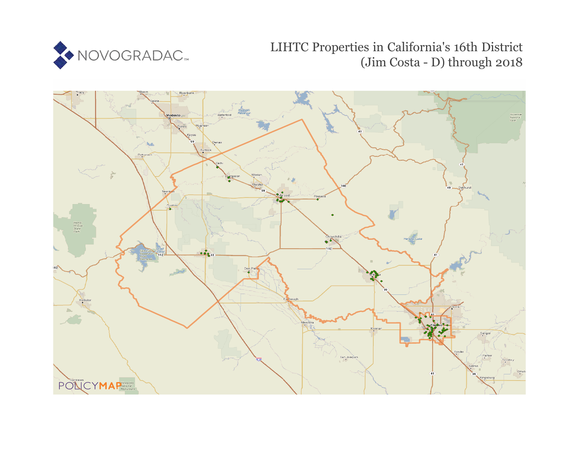

# LIHTC Properties in California's 16th District (Jim Costa - D) through 2018

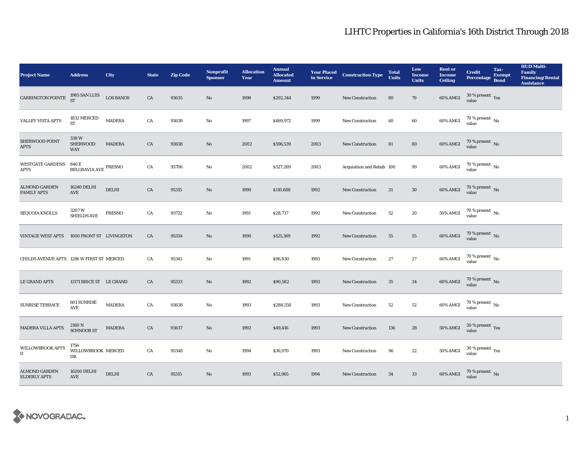| <b>Project Name</b>                          | <b>Address</b>                                  | <b>City</b>      | <b>State</b> | <b>Zip Code</b> | Nonprofit<br><b>Sponsor</b> | <b>Allocation</b><br>Year | <b>Annual</b><br><b>Allocated</b><br><b>Amount</b> | <b>Year Placed<br/>in Service</b> | <b>Construction Type</b>  | <b>Total</b><br><b>Units</b> | Low<br><b>Income</b><br><b>Units</b> | <b>Rent or</b><br><b>Income</b><br><b>Ceiling</b> | <b>Credit</b><br><b>Percentage</b> | Tax-<br><b>Exempt</b><br><b>Bond</b> | <b>HUD Multi-</b><br>Family<br><b>Financing/Rental</b><br><b>Assistance</b> |
|----------------------------------------------|-------------------------------------------------|------------------|--------------|-----------------|-----------------------------|---------------------------|----------------------------------------------------|-----------------------------------|---------------------------|------------------------------|--------------------------------------|---------------------------------------------------|------------------------------------|--------------------------------------|-----------------------------------------------------------------------------|
| CARRINGTON POINTE                            | 1985 SAN LUIS<br>ST                             | <b>LOS BANOS</b> | CA           | 93635           | $\mathbf{No}$               | 1998                      | \$292,344                                          | 1999                              | New Construction          | 80                           | 79                                   | $60\%$ AMGI                                       | $30\,\%$ present $\,$ Yes value    |                                      |                                                                             |
| <b>VALLEY VISTA APTS</b>                     | 1832 MERCED<br>ST                               | <b>MADERA</b>    | CA           | 93638           | No                          | 1997                      | \$469,972                                          | 1999                              | New Construction          | 60                           | 60                                   | 60% AMGI                                          | $70$ % present $\,$ No value       |                                      |                                                                             |
| SHERWOOD POINT<br><b>APTS</b>                | 338W<br><b>SHERWOOD</b><br><b>WAY</b>           | <b>MADERA</b>    | CA           | 93638           | $\mathbf{No}$               | 2002                      | \$596,539                                          | 2003                              | <b>New Construction</b>   | 81                           | 80                                   | 60% AMGI                                          | $70$ % present $\,$ No value       |                                      |                                                                             |
| <b>WESTGATE GARDENS 846 E</b><br><b>APTS</b> | BELGRAVIA AVE $^{\mbox{\small\textsf{FRESNO}}}$ |                  | CA           | 93706           | No                          | 2002                      | \$527,269                                          | 2003                              | Acquisition and Rehab 100 |                              | 99                                   | 60% AMGI                                          | $70$ % present $\,$ No value       |                                      |                                                                             |
| <b>ALMOND GARDEN</b><br><b>FAMILY APTS</b>   | 16240 DELHI<br>$\operatorname{AVE}$             | DELHI            | CA           | 95315           | No                          | 1990                      | \$110,688                                          | 1992                              | <b>New Construction</b>   | 31                           | $30\,$                               | 60% AMGI                                          | $70$ % present $\,$ No value       |                                      |                                                                             |
| SEQUOIA KNOLLS                               | $3207\,\mathrm{W}$<br><b>SHIELDS AVE</b>        | <b>FRESNO</b>    | CA           | 93722           | No                          | 1991                      | \$28,737                                           | 1992                              | New Construction          | 52                           | 20                                   | $50\%$ AMGI                                       | $70$ % present $\,$ No value       |                                      |                                                                             |
| <b>VINTAGE WEST APTS</b>                     | 1000 FRONT ST LIVINGSTON                        |                  | CA           | 95334           | $\mathbf{N}\mathbf{o}$      | 1990                      | \$125,369                                          | 1992                              | New Construction          | 55                           | 55                                   | $60\%$ AMGI                                       | $70$ % present $_{\rm{No}}$        |                                      |                                                                             |
| CHILDS AVENUE APTS 1296 W FIRST ST MERCED    |                                                 |                  | CA           | 95341           | No                          | 1991                      | \$96,830                                           | 1993                              | New Construction          | 27                           | 27                                   | 60% AMGI                                          | $70$ % present $\,$ No value       |                                      |                                                                             |
| <b>LE GRAND APTS</b>                         | 13171 BRICE ST LE GRAND                         |                  | CA           | 95333           | $\mathbf{N}\mathbf{o}$      | 1992                      | \$90,582                                           | 1993                              | New Construction          | 35                           | 34                                   | 60% AMGI                                          | $70$ % present $\,$ No value       |                                      |                                                                             |
| <b>SUNRISE TERRACE</b>                       | <b>601 SUNRISE</b><br>AVE                       | <b>MADERA</b>    | ${\rm CA}$   | 93638           | $\mathbf{N}\mathbf{o}$      | 1993                      | \$288,550                                          | 1993                              | <b>New Construction</b>   | ${\bf 52}$                   | ${\bf 52}$                           | 60% AMGI                                          | $70\,\%$ present $\,$ No value     |                                      |                                                                             |
| <b>MADERA VILLA APTS</b>                     | 2160 N<br><b>SCHNOOR ST</b>                     | <b>MADERA</b>    | CA           | 93637           | No                          | 1992                      | \$49,416                                           | 1993                              | New Construction          | 136                          | 28                                   | <b>50% AMGI</b>                                   | $30\,\%$ present $\,$ Yes value    |                                      |                                                                             |
| WILLOWBROOK APTS<br>$\scriptstyle\rm II$     | 1756<br>WILLOWBROOK MERCED<br>DR                |                  | CA           | 95348           | No                          | 1994                      | \$36,970                                           | 1993                              | New Construction          | 96                           | 22                                   | $50\%$ AMGI                                       | $30\,\%$ present $\,$ Yes value    |                                      |                                                                             |
| <b>ALMOND GARDEN</b><br><b>ELDERLY APTS</b>  | 16200 DELHI<br><b>AVE</b>                       | <b>DELHI</b>     | CA           | 95315           | No                          | 1993                      | \$52,965                                           | 1994                              | <b>New Construction</b>   | 34                           | 33                                   | 60% AMGI                                          | $70\,\%$ present $\,$ No value     |                                      |                                                                             |

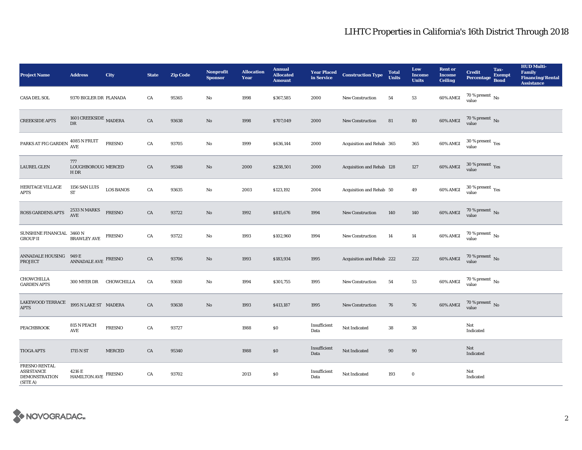| <b>Project Name</b>                                                    | <b>Address</b>                                  | City             | <b>State</b> | <b>Zip Code</b> | Nonprofit<br><b>Sponsor</b> | <b>Allocation</b><br>Year | <b>Annual</b><br><b>Allocated</b><br><b>Amount</b> |                      | <b>Year Placed Construction Type</b><br>in Service <b>Construction</b> Type | <b>Total</b><br><b>Units</b> | Low<br><b>Income</b><br><b>Units</b> | <b>Rent</b> or<br><b>Income</b><br><b>Ceiling</b> | <b>Credit</b><br><b>Percentage</b>      | Tax-<br><b>Exempt</b><br><b>Bond</b> | <b>HUD Multi-</b><br>Family<br><b>Financing/Rental</b><br><b>Assistance</b> |
|------------------------------------------------------------------------|-------------------------------------------------|------------------|--------------|-----------------|-----------------------------|---------------------------|----------------------------------------------------|----------------------|-----------------------------------------------------------------------------|------------------------------|--------------------------------------|---------------------------------------------------|-----------------------------------------|--------------------------------------|-----------------------------------------------------------------------------|
| <b>CASA DEL SOL</b>                                                    | 9370 BIGLER DR PLANADA                          |                  | CA           | 95365           | No                          | 1998                      | \$367,585                                          | 2000                 | <b>New Construction</b>                                                     | 54                           | ${\bf 53}$                           | 60% AMGI                                          | 70 % present $\,$ No $\,$<br>value      |                                      |                                                                             |
| <b>CREEKSIDE APTS</b>                                                  | 1601 CREEKSIDE MADERA<br>DR                     |                  | ${\rm CA}$   | 93638           | No                          | 1998                      | \$707,049                                          | 2000                 | New Construction                                                            | 81                           | 80                                   | 60% AMGI                                          | $70$ % present $\,$ No value            |                                      |                                                                             |
| PARKS AT FIG GARDEN                                                    | $4085$ N FRUIT AVE                              | <b>FRESNO</b>    | CA           | 93705           | No                          | 1999                      | \$636,144                                          | 2000                 | Acquisition and Rehab 365                                                   |                              | 365                                  | 60% AMGI                                          | $30\,\%$ present $\,$ Yes value         |                                      |                                                                             |
| <b>LAUREL GLEN</b>                                                     | 777<br>LOUGHBOROUG MERCED<br>H <sub>DR</sub>    |                  | CA           | 95348           | No                          | 2000                      | \$238,501                                          | 2000                 | Acquisition and Rehab 128                                                   |                              | 127                                  | 60% AMGI                                          | $30\,\%$ present $\,\mathrm{Yes}$ value |                                      |                                                                             |
| <b>HERITAGE VILLAGE</b><br>APTS                                        | 1156 SAN LUIS<br>${\cal ST}$                    | <b>LOS BANOS</b> | CA           | 93635           | No                          | 2003                      | \$123,192                                          | 2004                 | Acquisition and Rehab 50                                                    |                              | 49                                   | 60% AMGI                                          | $30\,\%$ present $\,$ Yes value         |                                      |                                                                             |
| ROSS GARDENS APTS                                                      | 2533 N MARKS<br><b>AVE</b>                      | <b>FRESNO</b>    | CA           | 93722           | $\mathbf{N}\mathbf{o}$      | 1992                      | \$815,676                                          | 1994                 | <b>New Construction</b>                                                     | 140                          | 140                                  | 60% AMGI                                          | $70$ % present $\,$ No value            |                                      |                                                                             |
| SUNSHINE FINANCIAL 3460 N<br><b>GROUP II</b>                           | <b>BRAWLEY AVE</b>                              | <b>FRESNO</b>    | CA           | 93722           | No                          | 1993                      | \$102,960                                          | 1994                 | <b>New Construction</b>                                                     | 14                           | 14                                   | 60% AMGI                                          | 70 % present $\hbox{~No}$<br>value      |                                      |                                                                             |
| <b>ANNADALE HOUSING</b><br><b>PROJECT</b>                              | 949 E<br>ANNADALE AVE FRESNO                    |                  | CA           | 93706           | $\mathbf{N}\mathbf{o}$      | 1993                      | \$183,934                                          | 1995                 | Acquisition and Rehab 222                                                   |                              | 222                                  | 60% AMGI                                          | $70$ % present $\,$ No value            |                                      |                                                                             |
| CHOWCHILLA<br><b>GARDEN APTS</b>                                       | 300 MYER DR                                     | CHOWCHILLA       | CA           | 93610           | No                          | 1994                      | \$301,755                                          | 1995                 | <b>New Construction</b>                                                     | 54                           | $53\,$                               | 60% AMGI                                          | $70$ % present $\,$ No value            |                                      |                                                                             |
| LAKEWOOD TERRACE<br><b>APTS</b>                                        | 1995 N LAKE ST MADERA                           |                  | CA           | 93638           | $\mathbf{N}\mathbf{o}$      | 1993                      | \$413,187                                          | 1995                 | New Construction                                                            | 76                           | 76                                   | 60% AMGI                                          | $70\,\%$ present $\,$ No value          |                                      |                                                                             |
| <b>PEACHBROOK</b>                                                      | 815 N PEACH<br>$\mathbf{A}\mathbf{V}\mathbf{E}$ | <b>FRESNO</b>    | CA           | 93727           |                             | 1988                      | \$0                                                | Insufficient<br>Data | Not Indicated                                                               | 38                           | 38                                   |                                                   | Not<br>Indicated                        |                                      |                                                                             |
| <b>TIOGA APTS</b>                                                      | 1715 N ST                                       | <b>MERCED</b>    | CA           | 95340           |                             | 1988                      | \$0\$                                              | Insufficient<br>Data | Not Indicated                                                               | 90                           | 90                                   |                                                   | Not<br>Indicated                        |                                      |                                                                             |
| FRESNO RENTAL<br><b>ASSISTANCE</b><br><b>DEMONSTRATION</b><br>(SITE A) | 4216 E<br><b>HAMILTON AVE</b>                   | <b>FRESNO</b>    | CA           | 93702           |                             | 2013                      | $\$0$                                              | Insufficient<br>Data | Not Indicated                                                               | 193                          | 0                                    |                                                   | Not<br>Indicated                        |                                      |                                                                             |

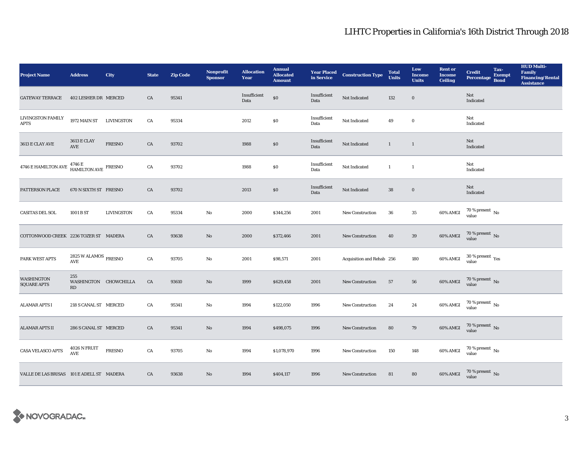| <b>Project Name</b>                       | <b>Address</b>                                         | City              | <b>State</b> | <b>Zip Code</b> | Nonprofit<br><b>Sponsor</b> | <b>Allocation</b><br>Year | <b>Annual</b><br><b>Allocated</b><br><b>Amount</b> |                      | <b>Year Placed Construction Type</b><br>in Service | <b>Total</b><br><b>Units</b> | Low<br><b>Income</b><br><b>Units</b> | <b>Rent or</b><br><b>Income</b><br><b>Ceiling</b> | <b>Credit</b><br><b>Percentage</b> | Tax-<br><b>Exempt</b><br><b>Bond</b> | <b>HUD Multi-</b><br><b>Family</b><br><b>Financing/Rental</b><br><b>Assistance</b> |
|-------------------------------------------|--------------------------------------------------------|-------------------|--------------|-----------------|-----------------------------|---------------------------|----------------------------------------------------|----------------------|----------------------------------------------------|------------------------------|--------------------------------------|---------------------------------------------------|------------------------------------|--------------------------------------|------------------------------------------------------------------------------------|
| <b>GATEWAY TERRACE</b>                    | 402 LESHER DR MERCED                                   |                   | CA           | 95341           |                             | Insufficient<br>Data      | $\$0$                                              | Insufficient<br>Data | Not Indicated                                      | 132                          | $\mathbf 0$                          |                                                   | Not<br>Indicated                   |                                      |                                                                                    |
| LIVINGSTON FAMILY<br><b>APTS</b>          | <b>1972 MAIN ST</b>                                    | LIVINGSTON        | ${\rm CA}$   | 95334           |                             | 2012                      | \$0                                                | Insufficient<br>Data | Not Indicated                                      | 49                           | $\bf{0}$                             |                                                   | Not<br>Indicated                   |                                      |                                                                                    |
| 3613 E CLAY AVE                           | <b>3613 E CLAY</b><br>AVE                              | <b>FRESNO</b>     | ${\rm CA}$   | 93702           |                             | 1988                      | $\$0$                                              | Insufficient<br>Data | Not Indicated                                      | $\mathbf{1}$                 | $\mathbf{1}$                         |                                                   | Not<br>Indicated                   |                                      |                                                                                    |
| 4746 E HAMILTON AVE                       | $4746\,\mathrm{E}$ HAMILTON AVE FRESNO                 |                   | CA           | 93702           |                             | 1988                      | \$0                                                | Insufficient<br>Data | Not Indicated                                      | $\mathbf{1}$                 | $\mathbf{1}$                         |                                                   | Not<br>Indicated                   |                                      |                                                                                    |
| PATTERSON PLACE                           | 670 N SIXTH ST FRESNO                                  |                   | CA           | 93702           |                             | 2013                      | \$0                                                | Insufficient<br>Data | Not Indicated                                      | 38                           | $\bf{0}$                             |                                                   | Not<br>Indicated                   |                                      |                                                                                    |
| <b>CASITAS DEL SOL</b>                    | 1001 B ST                                              | <b>LIVINGSTON</b> | CA           | 95334           | $\mathbf{No}$               | 2000                      | \$344,256                                          | 2001                 | New Construction                                   | 36                           | $35\,$                               | 60% AMGI                                          | $70\,\%$ present $\,$ No value     |                                      |                                                                                    |
| COTTONWOOD CREEK 2236 TOZER ST MADERA     |                                                        |                   | CA           | 93638           | $\rm No$                    | 2000                      | \$372,466                                          | 2001                 | <b>New Construction</b>                            | 40                           | 39                                   | 60% AMGI                                          | $70\,\%$ present $\,$ No value     |                                      |                                                                                    |
| PARK WEST APTS                            | $2825\,\mathrm{W}\,\mathrm{ALAMOS}$ FRESNO<br>AVE      |                   | ${\rm CA}$   | 93705           | $\mathbf{No}$               | 2001                      | \$98,571                                           | 2001                 | Acquisition and Rehab 256                          |                              | 180                                  | 60% AMGI                                          | $30\,\%$ present $\,$ Yes value    |                                      |                                                                                    |
| <b>WASHINGTON</b><br><b>SQUARE APTS</b>   | 255<br>WASHINGTON CHOWCHILLA<br>$\mathbf{R}\mathbf{D}$ |                   | CA           | 93610           | $\mathbf{N}\mathbf{o}$      | 1999                      | \$629,458                                          | 2001                 | <b>New Construction</b>                            | 57                           | 56                                   | 60% AMGI                                          | $70$ % present $\,$ No value       |                                      |                                                                                    |
| <b>ALAMAR APTS I</b>                      | 218 S CANAL ST MERCED                                  |                   | CA           | 95341           | $\rm No$                    | 1994                      | \$122,050                                          | 1996                 | <b>New Construction</b>                            | $\bf 24$                     | $\bf 24$                             | 60% AMGI                                          | $70$ % present $\,$ No value       |                                      |                                                                                    |
| <b>ALAMAR APTS II</b>                     | 286 S CANAL ST MERCED                                  |                   | CA           | 95341           | $\mathbf{N}\mathbf{o}$      | 1994                      | \$498,075                                          | 1996                 | New Construction                                   | 80                           | 79                                   | 60% AMGI                                          | $70$ % present $\,$ No value       |                                      |                                                                                    |
| <b>CASA VELASCO APTS</b>                  | 4026 N FRUIT<br><b>AVE</b>                             | <b>FRESNO</b>     | CA           | 93705           | $\mathbf{N}\mathbf{o}$      | 1994                      | \$1,078,970                                        | 1996                 | New Construction                                   | 150                          | 148                                  | 60% AMGI                                          | $70$ % present $\,$ No value       |                                      |                                                                                    |
| VALLE DE LAS BRISAS 101 E ADELL ST MADERA |                                                        |                   | CA           | 93638           | $\mathbf{N}\mathbf{o}$      | 1994                      | \$404,117                                          | 1996                 | <b>New Construction</b>                            | 81                           | 80                                   | 60% AMGI                                          | $70$ % present $\,$ No value       |                                      |                                                                                    |

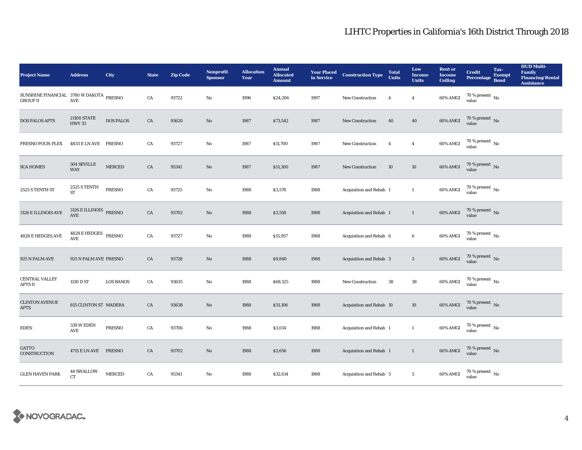| <b>Project Name</b>                                        | <b>Address</b>                                    | City             | <b>State</b> | <b>Zip Code</b> | <b>Nonprofit</b><br><b>Sponsor</b> | <b>Allocation</b><br>Year | <b>Annual</b><br><b>Allocated</b><br><b>Amount</b> |      | <b>Year Placed Construction Type</b><br>in Service | <b>Total</b><br><b>Units</b> | Low<br><b>Income</b><br><b>Units</b> | <b>Rent or</b><br><b>Income</b><br><b>Ceiling</b> | <b>Credit</b><br><b>Percentage</b>   | Tax-<br><b>Exempt</b><br><b>Bond</b> | <b>HUD Multi-</b><br>Family<br><b>Financing/Rental</b><br><b>Assistance</b> |
|------------------------------------------------------------|---------------------------------------------------|------------------|--------------|-----------------|------------------------------------|---------------------------|----------------------------------------------------|------|----------------------------------------------------|------------------------------|--------------------------------------|---------------------------------------------------|--------------------------------------|--------------------------------------|-----------------------------------------------------------------------------|
| SUNSHINE FINANCIAL 3780 W DAKOTA FRESNO<br><b>GROUP II</b> | <b>AVE</b>                                        |                  | ${\rm CA}$   | 93722           | $\mathbf{No}$                      | 1996                      | \$24,206                                           | 1997 | New Construction                                   | $\overline{4}$               | $\boldsymbol{4}$                     | 60% AMGI                                          | 70 % present $\,$ No $\,$<br>value   |                                      |                                                                             |
| <b>DOS PALOS APTS</b>                                      | <b>21100 STATE</b><br><b>HWY 33</b>               | <b>DOS PALOS</b> | ${\rm CA}$   | 93620           | $\rm\thinspace No$                 | 1987                      | \$73,542                                           | 1987 | New Construction                                   | 40                           | ${\bf 40}$                           | 60% AMGI                                          | $70$ % present $\,$ No value         |                                      |                                                                             |
| <b>FRESNO FOUR-PLEX</b>                                    | 4833 E LN AVE FRESNO                              |                  | ${\rm CA}$   | 93727           | No                                 | 1987                      | \$11,700                                           | 1987 | New Construction                                   | $\overline{4}$               | $\overline{4}$                       | 60% AMGI                                          | $70$ % present $\,$ No value         |                                      |                                                                             |
| <b>SCA HOMES</b>                                           | 504 SEVILLE<br><b>WAY</b>                         | <b>MERCED</b>    | ${\rm CA}$   | 95341           | $\rm No$                           | 1987                      | \$51,300                                           | 1987 | New Construction                                   | 10                           | 10                                   | 60% AMGI                                          | $70$ % present $\,$ No value         |                                      |                                                                             |
| 2525 S TENTH ST                                            | 2525 S TENTH<br>ST                                | <b>FRESNO</b>    | CA           | 93725           | $\mathbf{No}$                      | 1988                      | \$3,578                                            | 1988 | Acquisition and Rehab 1                            |                              | $\mathbf{1}$                         | 60% AMGI                                          | $70$ % present $\,$ No $\,$<br>value |                                      |                                                                             |
| 3126 E ILLINOIS AVE                                        | $3126 \to \text{ILLINOIS}$ FRESNO AVE             |                  | CA           | 93702           | $\rm No$                           | 1988                      | \$3,558                                            | 1988 | Acquisition and Rehab 1                            |                              | $\mathbf{1}$                         | $60\%$ AMGI                                       | $70$ % present $\,$ No value         |                                      |                                                                             |
| 4828 E HEDGES AVE                                          | $4828\,\mathrm{E}\,\mathrm{HEDGES}$ FRESNO<br>AVE |                  | ${\rm CA}$   | 93727           | No                                 | 1988                      | \$15,957                                           | 1988 | Acquisition and Rehab 6                            |                              | 6                                    | $60\%$ AMGI                                       | $70$ % present $\,$ No value         |                                      |                                                                             |
| 925 N PALM AVE                                             | 925 N PALM AVE FRESNO                             |                  | CA           | 93728           | $\rm No$                           | 1988                      | \$9,840                                            | 1988 | Acquisition and Rehab 3                            |                              | $\sqrt{3}$                           | 60% AMGI                                          | $70$ % present $\,$ No value         |                                      |                                                                             |
| <b>CENTRAL VALLEY</b><br><b>APTS II</b>                    | 1130 D ST                                         | <b>LOS BANOS</b> | CA           | 93635           | No                                 | 1988                      | \$68,125                                           | 1988 | <b>New Construction</b>                            | 38                           | ${\bf 38}$                           | 60% AMGI                                          | $70$ % present $\,$ No value         |                                      |                                                                             |
| <b>CLINTON AVENUE</b><br><b>APTS</b>                       | 815 CLINTON ST MADERA                             |                  | CA           | 93638           | $\rm No$                           | 1988                      | \$31,106                                           | 1988 | Acquisition and Rehab 10                           |                              | 10                                   | $60\%$ AMGI                                       | $70\,\%$ present $\,$ No value       |                                      |                                                                             |
| <b>EDEN</b>                                                | 339 W EDEN<br>AVE                                 | <b>FRESNO</b>    | ${\rm CA}$   | 93706           | No                                 | 1988                      | \$3,014                                            | 1988 | Acquisition and Rehab 1                            |                              | $\mathbf{1}$                         | 60% AMGI                                          | $70\,\%$ present $\,$ No value       |                                      |                                                                             |
| GATTO<br>CONSTRUCTION                                      | 4715 E LN AVE FRESNO                              |                  | CA           | 93702           | $\rm No$                           | 1988                      | \$3,656                                            | 1988 | Acquisition and Rehab 1                            |                              | $\mathbf{1}$                         | $60\%$ AMGI                                       | $70\,\%$ present $\,$ No value       |                                      |                                                                             |
| <b>GLEN HAVEN PARK</b>                                     | 44 SWALLOW<br>CT                                  | <b>MERCED</b>    | ${\rm CA}$   | 95341           | $\mathbf{No}$                      | 1988                      | \$32,614                                           | 1988 | Acquisition and Rehab 5                            |                              | $5\overline{ }$                      | 60% AMGI                                          | $70\,\%$ present $\,$ No value       |                                      |                                                                             |

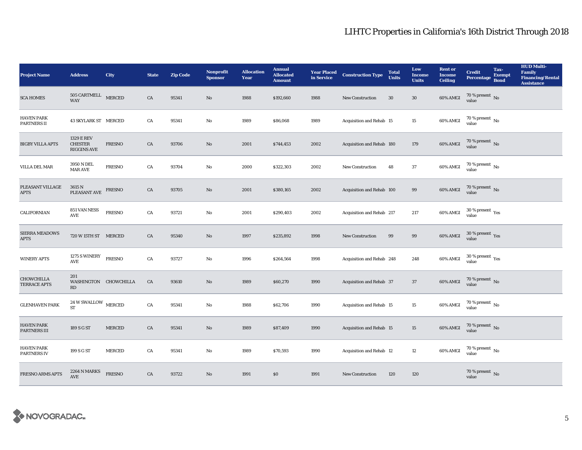| <b>Project Name</b>                      | <b>Address</b>                                              | <b>City</b>   | <b>State</b> | <b>Zip Code</b> | <b>Nonprofit</b><br><b>Sponsor</b> | <b>Allocation</b><br>Year | <b>Annual</b><br><b>Allocated</b><br><b>Amount</b> | <b>Year Placed<br/>in Service</b> | <b>Construction Type</b>  | <b>Total</b><br><b>Units</b> | Low<br><b>Income</b><br><b>Units</b> | <b>Rent or</b><br><b>Income</b><br><b>Ceiling</b> | <b>Credit</b><br><b>Percentage</b> | Tax-<br><b>Exempt</b><br><b>Bond</b> | <b>HUD Multi-</b><br>Family<br><b>Financing/Rental</b><br><b>Assistance</b> |
|------------------------------------------|-------------------------------------------------------------|---------------|--------------|-----------------|------------------------------------|---------------------------|----------------------------------------------------|-----------------------------------|---------------------------|------------------------------|--------------------------------------|---------------------------------------------------|------------------------------------|--------------------------------------|-----------------------------------------------------------------------------|
| <b>SCA HOMES</b>                         | 505 CARTMELL MERCED<br><b>WAY</b>                           |               | ${\rm CA}$   | 95341           | $\mathbf{No}$                      | 1988                      | \$192,660                                          | 1988                              | New Construction          | 30                           | $30\,$                               | $60\%$ AMGI                                       | $70\,\%$ present $\,$ No value     |                                      |                                                                             |
| <b>HAVEN PARK</b><br>PARTNERS II         | 43 SKYLARK ST MERCED                                        |               | CA           | 95341           | No                                 | 1989                      | \$86,068                                           | 1989                              | Acquisition and Rehab 15  |                              | 15                                   | 60% AMGI                                          | $70$ % present $\,$ No value       |                                      |                                                                             |
| <b>BIGBY VILLA APTS</b>                  | <b>1329 E REV</b><br><b>CHESTER</b><br><b>RIGGINS AVE</b>   | <b>FRESNO</b> | ${\rm CA}$   | 93706           | $\mathbf{N}\mathbf{o}$             | 2001                      | \$744,453                                          | 2002                              | Acquisition and Rehab 180 |                              | 179                                  | 60% AMGI                                          | $70$ % present $\,$ No value       |                                      |                                                                             |
| VILLA DEL MAR                            | 3950 N DEL<br><b>MAR AVE</b>                                | <b>FRESNO</b> | CA           | 93704           | No                                 | 2000                      | \$322,303                                          | 2002                              | <b>New Construction</b>   | 48                           | 37                                   | 60% AMGI                                          | $70\,\%$ present $\,$ No value     |                                      |                                                                             |
| PLEASANT VILLAGE<br><b>APTS</b>          | 3615 N<br>PLEASANT AVE                                      | FRESNO        | ${\rm CA}$   | 93705           | $\mathbf{No}$                      | 2001                      | \$380,165                                          | 2002                              | Acquisition and Rehab 100 |                              | $\bf{99}$                            | $60\%$ AMGI                                       | $70$ % present $_{\rm No}$         |                                      |                                                                             |
| CALIFORNIAN                              | 851 VAN NESS<br>AVE                                         | <b>FRESNO</b> | ${\rm CA}$   | 93721           | No                                 | 2001                      | \$290,403                                          | 2002                              | Acquisition and Rehab 217 |                              | 217                                  | 60% AMGI                                          | $30\,\%$ present $\,$ Yes value    |                                      |                                                                             |
| <b>SIERRA MEADOWS</b><br><b>APTS</b>     | 720 W 15TH ST MERCED                                        |               | CA           | 95340           | $\mathbf{N}\mathbf{o}$             | 1997                      | \$235,892                                          | 1998                              | New Construction          | 99                           | 99                                   | <b>60% AMGI</b>                                   | $30\,\%$ present $\,$ Yes value    |                                      |                                                                             |
| <b>WINERY APTS</b>                       | 1275 S WINERY<br>$\operatorname{\mathsf{AVE}}$              | <b>FRESNO</b> | ${\rm CA}$   | 93727           | No                                 | 1996                      | \$264,564                                          | 1998                              | Acquisition and Rehab 248 |                              | 248                                  | 60% AMGI                                          | $30\,\%$ present $\,$ Yes value    |                                      |                                                                             |
| <b>CHOWCHILLA</b><br><b>TERRACE APTS</b> | 201<br>WASHINGTON CHOWCHILLA<br>RD                          |               | CA           | 93610           | No                                 | 1989                      | \$60,270                                           | 1990                              | Acquisition and Rehab 37  |                              | 37                                   | 60% AMGI                                          | $70$ % present $_{\rm No}$         |                                      |                                                                             |
| <b>GLENHAVEN PARK</b>                    | $24\,\mathrm{W}$ SWALLOW $$\,\mathrm{MERCED}$$<br><b>ST</b> |               | ${\rm CA}$   | 95341           | No                                 | 1988                      | \$62,706                                           | 1990                              | Acquisition and Rehab 15  |                              | $15\,$                               | $60\%$ AMGI                                       | $70\,\%$ present $\,$ No value     |                                      |                                                                             |
| <b>HAVEN PARK</b><br>PARTNERS III        | 189 S G ST                                                  | <b>MERCED</b> | CA           | 95341           | No                                 | 1989                      | \$87,409                                           | 1990                              | Acquisition and Rehab 15  |                              | $15\,$                               | 60% AMGI                                          | $70\,\%$ present $\,$ No value     |                                      |                                                                             |
| <b>HAVEN PARK</b><br>PARTNERS IV         | 199 S G ST                                                  | <b>MERCED</b> | CA           | 95341           | No                                 | 1989                      | \$70,593                                           | 1990                              | Acquisition and Rehab 12  |                              | 12                                   | 60% AMGI                                          | $70\,\%$ present $\,$ No value     |                                      |                                                                             |
| <b>FRESNO ARMS APTS</b>                  | 2264 N MARKS<br><b>AVE</b>                                  | <b>FRESNO</b> | CA           | 93722           | No                                 | 1991                      | $\$0$                                              | 1991                              | <b>New Construction</b>   | 120                          | 120                                  |                                                   | $70\,\%$ present $\,$ No value     |                                      |                                                                             |

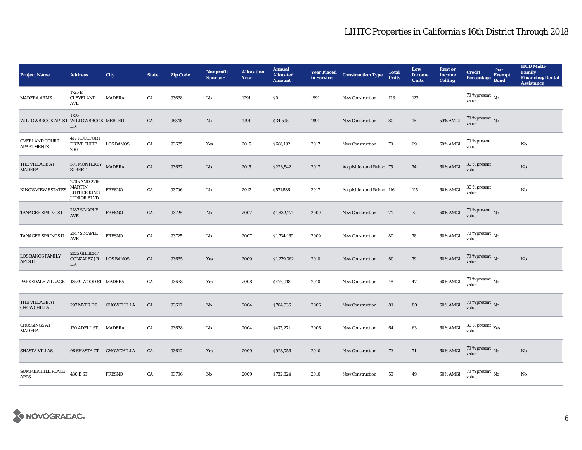| <b>Project Name</b>                        | <b>Address</b>                                               | <b>City</b>      | <b>State</b> | <b>Zip Code</b> | <b>Nonprofit</b><br><b>Sponsor</b> | <b>Allocation</b><br>Year | <b>Annual</b><br><b>Allocated</b><br><b>Amount</b> | <b>Year Placed</b><br>in Service | <b>Construction Type</b>  | <b>Total</b><br><b>Units</b> | Low<br><b>Income</b><br><b>Units</b> | <b>Rent or</b><br><b>Income</b><br><b>Ceiling</b> | <b>Credit</b><br><b>Percentage</b>      | Tax-<br><b>Exempt</b><br><b>Bond</b> | <b>HUD Multi-</b><br><b>Family</b><br><b>Financing/Rental</b><br><b>Assistance</b> |
|--------------------------------------------|--------------------------------------------------------------|------------------|--------------|-----------------|------------------------------------|---------------------------|----------------------------------------------------|----------------------------------|---------------------------|------------------------------|--------------------------------------|---------------------------------------------------|-----------------------------------------|--------------------------------------|------------------------------------------------------------------------------------|
| <b>MADERA ARMS</b>                         | 1725 E<br><b>CLEVELAND</b><br>AVE                            | <b>MADERA</b>    | CA           | 93638           | $\mathbf{No}$                      | 1991                      | \$0                                                | 1991                             | New Construction          | 123                          | 123                                  |                                                   | 70 % present $\,$ No $\,$<br>value      |                                      |                                                                                    |
| WILLOWBROOK APTS I WILLOWBROOK MERCED      | 1756<br>DR                                                   |                  | CA           | 95348           | No                                 | 1991                      | \$34,595                                           | 1991                             | <b>New Construction</b>   | 80                           | 16                                   | <b>50% AMGI</b>                                   | $70$ % present $\,$ No value            |                                      |                                                                                    |
| <b>OVERLAND COURT</b><br><b>APARTMENTS</b> | <b>417 ROCKPORT</b><br><b>DRIVE SUITE</b><br>200             | <b>LOS BANOS</b> | CA           | 93635           | Yes                                | 2015                      | \$681,192                                          | 2017                             | <b>New Construction</b>   | 70                           | 69                                   | 60% AMGI                                          | 70 % present<br>value                   |                                      | No                                                                                 |
| THE VILLAGE AT<br><b>MADERA</b>            | $501$ MONTEREY $$\tt MADERA$$<br><b>STREET</b>               |                  | CA           | 93637           | $\mathbf{N}\mathbf{o}$             | 2015                      | \$228,542                                          | 2017                             | Acquisition and Rehab 75  |                              | 74                                   | 60% AMGI                                          | 30 % present<br>value                   |                                      | $\mathbf{N}\mathbf{o}$                                                             |
| <b>KING'S VIEW ESTATES</b>                 | 2705 AND 2715<br><b>MARTIN</b><br>LUTHER KING<br>JUNIOR BLVD | <b>FRESNO</b>    | CA           | 93706           | $\mathbf{N}\mathbf{o}$             | 2017                      | \$571,536                                          | 2017                             | Acquisition and Rehab 116 |                              | 115                                  | 60% AMGI                                          | 30 % present<br>value                   |                                      | No                                                                                 |
| TANAGER SPRINGS I                          | <b>2187 S MAPLE</b><br>$\operatorname{AVE}$                  | <b>FRESNO</b>    | CA           | 93725           | $\mathbf{N}\mathbf{o}$             | 2007                      | \$1,832,271                                        | 2009                             | New Construction          | 74                           | 72                                   | 60% AMGI                                          | $70$ % present $\,$ No value            |                                      |                                                                                    |
| TANAGER SPRINGS II                         | <b>2147 S MAPLE</b><br><b>AVE</b>                            | <b>FRESNO</b>    | CA           | 93725           | No                                 | 2007                      | \$1,734,169                                        | 2009                             | New Construction          | 80                           | 78                                   | 60% AMGI                                          | 70 % present $\,$ No $\,$<br>value      |                                      |                                                                                    |
| <b>LOS BANOS FAMILY</b><br><b>APTS II</b>  | 2125 GILBERT<br><b>GONZALEZ JR LOS BANOS</b><br>DR           |                  | CA           | 93635           | Yes                                | 2009                      | \$1,279,362                                        | 2010                             | New Construction          | 80                           | 79                                   | 60% AMGI                                          | $70$ % present $\,$ No value            |                                      | No                                                                                 |
| PARKSDALE VILLAGE 13549 WOOD ST MADERA     |                                                              |                  | CA           | 93638           | Yes                                | 2008                      | \$476,918                                          | 2010                             | New Construction          | 48                           | 47                                   | 60% AMGI                                          | $70$ % present $\,$ No value            |                                      |                                                                                    |
| THE VILLAGE AT<br>CHOWCHILLA               | 297 MYER DR                                                  | CHOWCHILLA       | CA           | 93610           | $\mathbf{N}\mathbf{o}$             | 2004                      | \$764,936                                          | 2006                             | New Construction          | 81                           | 80                                   | <b>60% AMGI</b>                                   | $70\,\%$ present $\,$ No value          |                                      |                                                                                    |
| <b>CROSSINGS AT</b><br>MADERA              | 120 ADELL ST MADERA                                          |                  | CA           | 93638           | No                                 | 2004                      | \$475,271                                          | 2006                             | New Construction          | 64                           | 63                                   | 60% AMGI                                          | $30\,\%$ present $\,\mathrm{Yes}$ value |                                      |                                                                                    |
| <b>SHASTA VILLAS</b>                       | 96 SHASTA CT CHOWCHILLA                                      |                  | CA           | 93610           | Yes                                | 2009                      | \$928,756                                          | 2010                             | <b>New Construction</b>   | 72                           | 71                                   | 60% AMGI                                          | $70\,\%$ present $\,$ No value          |                                      | No                                                                                 |
| SUMMER HILL PLACE<br><b>APTS</b>           | 430 B ST                                                     | <b>FRESNO</b>    | CA           | 93706           | $\mathbf{No}$                      | 2009                      | \$732,824                                          | 2010                             | <b>New Construction</b>   | 50                           | 49                                   | 60% AMGI                                          | 70 % present $\,$ No $\,$<br>value      |                                      | No                                                                                 |

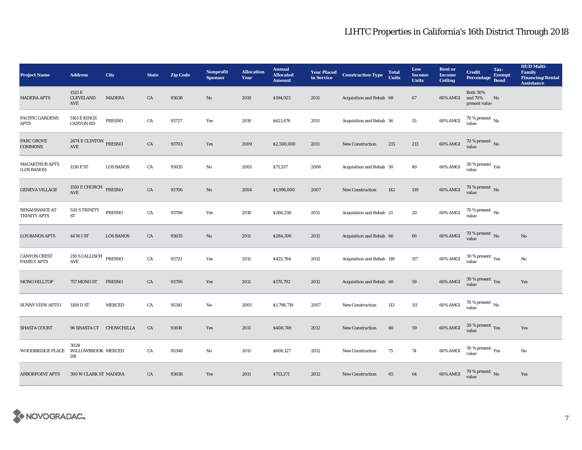| <b>Project Name</b>                       | <b>Address</b>                                                      | City             | <b>State</b> | <b>Zip Code</b> | <b>Nonprofit</b><br><b>Sponsor</b> | <b>Allocation</b><br>Year | <b>Annual</b><br><b>Allocated</b><br><b>Amount</b> | <b>Year Placed<br/>in Service</b> | <b>Construction Type</b>  | <b>Total</b><br><b>Units</b> | Low<br><b>Income</b><br><b>Units</b> | <b>Rent</b> or<br><b>Income</b><br><b>Ceiling</b> | <b>Credit</b><br><b>Percentage</b>              | Tax-<br><b>Exempt</b><br><b>Bond</b> | <b>HUD Multi-</b><br><b>Family</b><br><b>Financing/Rental</b><br><b>Assistance</b> |
|-------------------------------------------|---------------------------------------------------------------------|------------------|--------------|-----------------|------------------------------------|---------------------------|----------------------------------------------------|-----------------------------------|---------------------------|------------------------------|--------------------------------------|---------------------------------------------------|-------------------------------------------------|--------------------------------------|------------------------------------------------------------------------------------|
| <b>MADERA APTS</b>                        | 1525 E<br><b>CLEVELAND</b><br>AVE                                   | <b>MADERA</b>    | CA           | 93638           | $\mathbf{No}$                      | 2010                      | \$194,923                                          | 2011                              | Acquisition and Rehab 68  |                              | 67                                   | 60% AMGI                                          | <b>Both 30%</b><br>and 70%<br>present value     | No                                   |                                                                                    |
| PACIFIC GARDENS<br><b>APTS</b>            | <b>5161 E KINGS</b><br><b>CANYON RD</b>                             | <b>FRESNO</b>    | CA           | 93727           | Yes                                | 2010                      | \$621,476                                          | 2011                              | Acquisition and Rehab 56  |                              | 55                                   | 60% AMGI                                          | $70$ % present $\,$ No value                    |                                      |                                                                                    |
| <b>PARC GROVE</b><br><b>COMMONS</b>       | $2674\,\mathrm{E}\,\mathrm{CLINTON}$ FRESNO<br>$\operatorname{AVE}$ |                  | ${\rm CA}$   | 93703           | Yes                                | 2009                      | \$2,500,000                                        | 2011                              | <b>New Construction</b>   | 215                          | $213\,$                              | 60% AMGI                                          | $70$ % present $\,$ No value                    |                                      |                                                                                    |
| <b>MACARTHUR APTS</b><br>(LOS BANOS)      | 1130 F ST                                                           | <b>LOS BANOS</b> | CA           | 93635           | No                                 | 2005                      | \$71,337                                           | 2006                              | Acquisition and Rehab 50  |                              | 49                                   | 60% AMGI                                          | $30\,\%$ present $\,$ Yes value                 |                                      |                                                                                    |
| <b>GENEVA VILLAGE</b>                     | 1550 E CHURCH FRESNO<br>$\operatorname{AVE}$                        |                  | ${\rm CA}$   | 93706           | $\mathbf{N}\mathbf{o}$             | 2004                      | \$1,996,000                                        | 2007                              | New Construction          | 142                          | 139                                  | 60% AMGI                                          | $70$ % present $\,$ No value                    |                                      |                                                                                    |
| RENAISSANCE AT<br>TRINITY APTS            | 520 S TRINITY<br>ST                                                 | <b>FRESNO</b>    | CA           | 93706           | Yes                                | 2010                      | \$286,258                                          | 2011                              | Acquisition and Rehab 21  |                              | 20                                   | 60% AMGI                                          | $70$ % present $\,$ No value                    |                                      |                                                                                    |
| <b>LOS BANOS APTS</b>                     | 44 W I ST                                                           | <b>LOS BANOS</b> | CA           | 93635           | No                                 | 2011                      | \$284,306                                          | 2012                              | Acquisition and Rehab 66  |                              | 66                                   | 60% AMGI                                          | $70$ % present $\,$ No value                    |                                      | No                                                                                 |
| <b>CANYON CREST</b><br><b>FAMILY APTS</b> | $210$ S CALLISCH $$\rm FRESNO$$<br>AVE                              |                  | ${\rm CA}$   | 93721           | Yes                                | 2011                      | \$425,784                                          | 2012                              | Acquisition and Rehab 118 |                              | 117                                  | 60% AMGI                                          | 30 % present $\rm \gamma_{\rm PS}$<br>value     |                                      | No                                                                                 |
| <b>MONO HILLTOP</b>                       | 757 MONO ST                                                         | <b>FRESNO</b>    | CA           | 93706           | Yes                                | 2011                      | \$170,792                                          | 2012                              | Acquisition and Rehab 60  |                              | 59                                   | 60% AMGI                                          | $30\,\%$ present $\,$ Yes value                 |                                      | Yes                                                                                |
| <b>SUNNY VIEW APTS I</b>                  | 1108 D ST                                                           | <b>MERCED</b>    | CA           | 95341           | $\rm No$                           | 2005                      | \$1,798,719                                        | 2007                              | <b>New Construction</b>   | 113                          | 111                                  | 60% AMGI                                          | $70\,\%$ present $\,$ No value                  |                                      |                                                                                    |
| <b>SHASTA COURT</b>                       | 96 SHASTA CT CHOWCHILLA                                             |                  | CA           | 93610           | Yes                                | 2011                      | \$408,749                                          | 2012                              | <b>New Construction</b>   | 60                           | 59                                   | 60% AMGI                                          | $30\,\%$ present $\,$ Yes value                 |                                      | Yes                                                                                |
| <b>WOODBRIDGE PLACE</b>                   | 3028<br>WILLOWBROOK MERCED<br>DR                                    |                  | CA           | 95348           | No                                 | 2011                      | \$606,127                                          | 2012                              | New Construction          | 75                           | 74                                   | 60% AMGI                                          | $30\,\%$ present $\rm\thinspace_{Yes}$<br>value |                                      | No                                                                                 |
| <b>ARBORPOINT APTS</b>                    | 300 W CLARK ST MADERA                                               |                  | CA           | 93638           | Yes                                | 2011                      | \$713,271                                          | 2012                              | <b>New Construction</b>   | 65                           | 64                                   | 60% AMGI                                          | $70\,\%$ present $\,$ No value                  |                                      | Yes                                                                                |

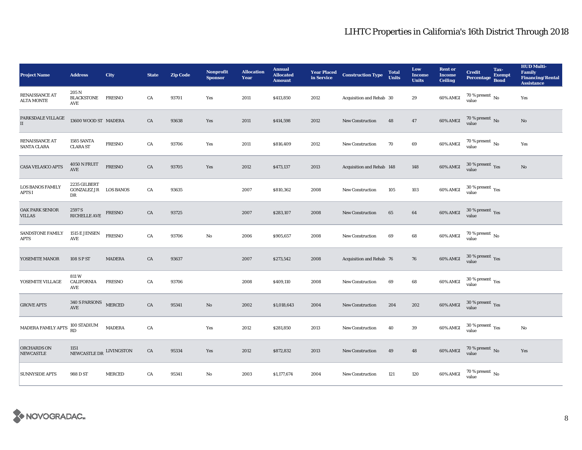| <b>Project Name</b>                         | <b>Address</b>                                     | City          | <b>State</b> | <b>Zip Code</b> | <b>Nonprofit</b><br><b>Sponsor</b> | <b>Allocation</b><br>Year | <b>Annual</b><br><b>Allocated</b><br><b>Amount</b> |      | <b>Year Placed Construction Type</b><br>in Service <b>Construction</b> Type | <b>Total</b><br><b>Units</b> | Low<br><b>Income</b><br><b>Units</b> | <b>Rent or</b><br><b>Income</b><br><b>Ceiling</b> | <b>Credit</b><br><b>Percentage</b> | Tax-<br><b>Exempt</b><br><b>Bond</b> | <b>HUD Multi-</b><br><b>Family</b><br><b>Financing/Rental</b><br><b>Assistance</b> |
|---------------------------------------------|----------------------------------------------------|---------------|--------------|-----------------|------------------------------------|---------------------------|----------------------------------------------------|------|-----------------------------------------------------------------------------|------------------------------|--------------------------------------|---------------------------------------------------|------------------------------------|--------------------------------------|------------------------------------------------------------------------------------|
| <b>RENAISSANCE AT</b><br><b>ALTA MONTE</b>  | 205 N<br><b>BLACKSTONE</b><br>AVE                  | <b>FRESNO</b> | CA           | 93701           | Yes                                | 2011                      | \$413,850                                          | 2012 | Acquisition and Rehab 30                                                    |                              | 29                                   | 60% AMGI                                          | 70 % present $\,$ No $\,$<br>value |                                      | Yes                                                                                |
| PARKSDALE VILLAGE<br>$\rm II$               | 13600 WOOD ST MADERA                               |               | CA           | 93638           | Yes                                | 2011                      | \$414,598                                          | 2012 | New Construction                                                            | 48                           | 47                                   | $60\%$ AMGI                                       | $70$ % present $\,$ No value       |                                      | $\mathbf{N}\mathbf{o}$                                                             |
| <b>RENAISSANCE AT</b><br><b>SANTA CLARA</b> | 1585 SANTA<br><b>CLARA ST</b>                      | <b>FRESNO</b> | CA           | 93706           | Yes                                | 2011                      | \$816,409                                          | 2012 | <b>New Construction</b>                                                     | 70                           | $\bf 69$                             | 60% AMGI                                          | $70$ % present $\,$ No value       |                                      | Yes                                                                                |
| CASA VELASCO APTS                           | 4050 N FRUIT<br><b>AVE</b>                         | <b>FRESNO</b> | ${\rm CA}$   | 93705           | Yes                                | 2012                      | \$473,137                                          | 2013 | Acquisition and Rehab 148                                                   |                              | 148                                  | 60% AMGI                                          | $30\,\%$ present $\,$ Yes value    |                                      | $\mathbf{N}\mathbf{o}$                                                             |
| <b>LOS BANOS FAMILY</b><br>APTS I           | 2235 GILBERT<br><b>GONZALEZ JR LOS BANOS</b><br>DR |               | CA           | 93635           |                                    | 2007                      | \$810,362                                          | 2008 | <b>New Construction</b>                                                     | 105                          | $103\,$                              | 60% AMGI                                          | $30\,\%$ present $\,$ Yes value    |                                      |                                                                                    |
| <b>OAK PARK SENIOR</b><br><b>VILLAS</b>     | $2597\,\mathrm{S}$ RICHELLE AVE                    | FRESNO        | CA           | 93725           |                                    | 2007                      | \$283,107                                          | 2008 | <b>New Construction</b>                                                     | 65                           | 64                                   | 60% AMGI                                          | $30\,\%$ present $\,$ Yes value    |                                      |                                                                                    |
| <b>SANDSTONE FAMILY</b><br><b>APTS</b>      | 1515 E JENSEN<br>$\operatorname{AVE}$              | <b>FRESNO</b> | CA           | 93706           | No                                 | 2006                      | \$905,657                                          | 2008 | <b>New Construction</b>                                                     | 69                           | 68                                   | 60% AMGI                                          | $70$ % present $\,$ No value       |                                      |                                                                                    |
| YOSEMITE MANOR                              | 108 S P ST                                         | <b>MADERA</b> | CA           | 93637           |                                    | 2007                      | \$273,542                                          | 2008 | Acquisition and Rehab 76                                                    |                              | 76                                   | 60% AMGI                                          | $30\,\%$ present $\,$ Yes value    |                                      |                                                                                    |
| YOSEMITE VILLAGE                            | 811W<br>CALIFORNIA<br>AVE                          | <b>FRESNO</b> | CA           | 93706           |                                    | 2008                      | \$409,110                                          | 2008 | New Construction                                                            | 69                           | 68                                   | 60% AMGI                                          | $30\,\%$ present $\,$ Yes value    |                                      |                                                                                    |
| <b>GROVE APTS</b>                           | 340 S PARSONS<br>$\operatorname{AVE}$              | <b>MERCED</b> | ${\rm CA}$   | 95341           | $\rm\thinspace No$                 | 2002                      | \$1,018,643                                        | 2004 | New Construction                                                            | 204                          | $\bf 202$                            | <b>60% AMGI</b>                                   | $30\,\%$ present $\,$ Yes value    |                                      |                                                                                    |
| MADERA FAMILY APTS                          | 100 STADIUM<br>RD                                  | <b>MADERA</b> | CA           |                 | Yes                                | 2012                      | \$281,850                                          | 2013 | New Construction                                                            | 40                           | 39                                   | 60% AMGI                                          | $30\,\%$ present $\,$ Yes value    |                                      | $\mathbf{No}$                                                                      |
| <b>ORCHARDS ON</b><br><b>NEWCASTLE</b>      | 1151<br>NEWCASTLE DR LIVINGSTON                    |               | CA           | 95334           | Yes                                | 2012                      | \$872,832                                          | 2013 | <b>New Construction</b>                                                     | 49                           | 48                                   | 60% AMGI                                          | $70\,\%$ present $\,$ No value     |                                      | Yes                                                                                |
| <b>SUNNYSIDE APTS</b>                       | 988 D ST                                           | <b>MERCED</b> | ${\rm CA}$   | 95341           | No                                 | 2003                      | \$1,177,674                                        | 2004 | <b>New Construction</b>                                                     | 121                          | 120                                  | 60% AMGI                                          | $70\,\%$ present $\,$ No value     |                                      |                                                                                    |

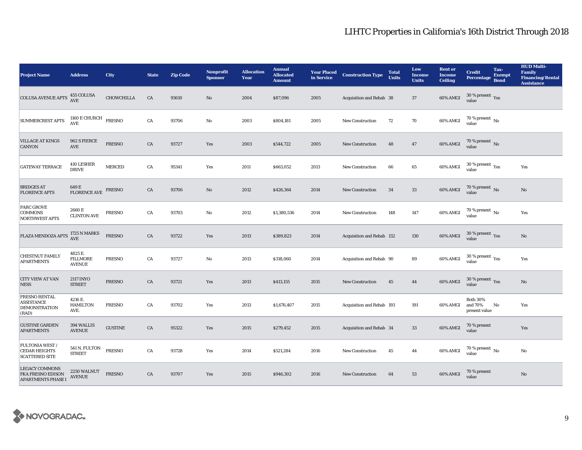| <b>Project Name</b>                                                        | <b>Address</b>                              | <b>City</b>    | <b>State</b> | <b>Zip Code</b> | <b>Nonprofit</b><br><b>Sponsor</b> | <b>Allocation</b><br>Year | <b>Annual</b><br><b>Allocated</b><br><b>Amount</b> | <b>Year Placed<br/>in Service</b> | <b>Construction Type</b>  | <b>Total</b><br><b>Units</b> | Low<br><b>Income</b><br><b>Units</b> | <b>Rent or</b><br><b>Income</b><br><b>Ceiling</b> | <b>Credit</b><br><b>Percentage</b>          | Tax-<br><b>Exempt</b><br><b>Bond</b> | <b>HUD Multi-</b><br>Family<br><b>Financing/Rental</b><br><b>Assistance</b> |
|----------------------------------------------------------------------------|---------------------------------------------|----------------|--------------|-----------------|------------------------------------|---------------------------|----------------------------------------------------|-----------------------------------|---------------------------|------------------------------|--------------------------------------|---------------------------------------------------|---------------------------------------------|--------------------------------------|-----------------------------------------------------------------------------|
| <b>COLUSA AVENUE APTS</b>                                                  | 455 COLUSA<br>AVE                           | CHOWCHILLA     | CA           | 93610           | $\rm No$                           | 2004                      | \$87,096                                           | 2005                              | Acquisition and Rehab 38  |                              | 37                                   | 60% AMGI                                          | $30$ % present $\,$ $\rm Yes$<br>value      |                                      |                                                                             |
| SUMMERCREST APTS                                                           | 1160 E CHURCH<br>AVE                        | <b>FRESNO</b>  | ${\rm CA}$   | 93706           | $\mathbf {No}$                     | 2003                      | \$804,181                                          | 2005                              | <b>New Construction</b>   | 72                           | 70                                   | 60% AMGI                                          | $70$ % present $\,$ No value                |                                      |                                                                             |
| <b>VILLAGE AT KINGS</b><br>CANYON                                          | 962 S PIERCE<br>AVE                         | <b>FRESNO</b>  | CA           | 93727           | Yes                                | 2003                      | \$544,722                                          | 2005                              | New Construction          | 48                           | 47                                   | 60% AMGI                                          | $70$ % present $\,$ No value                |                                      |                                                                             |
| <b>GATEWAY TERRACE</b>                                                     | 410 LESHER<br><b>DRIVE</b>                  | <b>MERCED</b>  | CA           | 95341           | Yes                                | 2011                      | \$663,052                                          | 2013                              | <b>New Construction</b>   | 66                           | 65                                   | 60% AMGI                                          | $30\,\%$ present $\,$ Yes value             |                                      | Yes                                                                         |
| <b>BRIDGES AT</b><br><b>FLORENCE APTS</b>                                  | 649 E<br><b>FLORENCE AVE</b>                | <b>FRESNO</b>  | CA           | 93706           | No                                 | 2012                      | \$426,364                                          | 2014                              | New Construction          | 34                           | $33\,$                               | 60% AMGI                                          | $70$ % present $\,$ No value                |                                      | No                                                                          |
| PARC GROVE<br><b>COMMONS</b><br><b>NORTHWEST APTS</b>                      | 2660 E<br><b>CLINTON AVE</b>                | <b>FRESNO</b>  | CA           | 93703           | $\mathbf {No}$                     | 2012                      | \$1,380,536                                        | 2014                              | <b>New Construction</b>   | 148                          | 147                                  | 60% AMGI                                          | $70$ % present $\,$ No value                |                                      | Yes                                                                         |
| PLAZA MENDOZA APTS 1725 N MARKS                                            |                                             | <b>FRESNO</b>  | ${\rm CA}$   | 93722           | Yes                                | 2013                      | \$389,823                                          | 2014                              | Acquisition and Rehab 132 |                              | 130                                  | 60% AMGI                                          | $30\,\%$ present $\,\mathrm{Yes}$ value     |                                      | $\mathbf{N}\mathbf{o}$                                                      |
| <b>CHESTNUT FAMILY</b><br><b>APARTMENTS</b>                                | 4825 E.<br><b>FILLMORE</b><br><b>AVENUE</b> | <b>FRESNO</b>  | CA           | 93727           | No                                 | 2013                      | \$318,060                                          | 2014                              | Acquisition and Rehab 90  |                              | 89                                   | 60% AMGI                                          | $30\,\%$ present $\,$ $\rm{Yes}$<br>value   |                                      | Yes                                                                         |
| CITY VIEW AT VAN<br><b>NESS</b>                                            | <b>2117 INYO</b><br><b>STREET</b>           | <b>FRESNO</b>  | CA           | 93721           | Yes                                | 2013                      | \$413,155                                          | 2015                              | <b>New Construction</b>   | 45                           | 44                                   | 60% AMGI                                          | $30\,\%$ present $\,$ Yes value             |                                      | No                                                                          |
| <b>FRESNO RENTAL</b><br><b>ASSISTANCE</b><br><b>DEMONSTRATION</b><br>(RAD) | 4216 E.<br><b>HAMILTON</b><br>AVE.          | <b>FRESNO</b>  | CA           | 93702           | Yes                                | 2013                      | \$1,676,407                                        | 2015                              | Acquisition and Rehab 193 |                              | 191                                  | 60% AMGI                                          | <b>Both 30%</b><br>and 70%<br>present value | No                                   | Yes                                                                         |
| <b>GUSTINE GARDEN</b><br><b>APARTMENTS</b>                                 | 394 WALLIS<br><b>AVENUE</b>                 | <b>GUSTINE</b> | CA           | 95322           | Yes                                | 2015                      | \$279,452                                          | 2015                              | Acquisition and Rehab 34  |                              | $33\,$                               | 60% AMGI                                          | 70 % present<br>value                       |                                      | Yes                                                                         |
| FULTONIA WEST /<br><b>CEDAR HEIGHTS</b><br><b>SCATTERED SITE</b>           | 541 N. FULTON<br><b>STREET</b>              | <b>FRESNO</b>  | CA           | 93728           | Yes                                | 2014                      | \$521,284                                          | 2016                              | New Construction          | 45                           | 44                                   | 60% AMGI                                          | $70$ % present $\,$ No $\,$<br>value        |                                      | No                                                                          |
| <b>LEGACY COMMONS</b><br>FKA FRESNO EDISON<br><b>APARTMENTS PHASE I</b>    | 2250 WALNUT<br><b>AVENUE</b>                | <b>FRESNO</b>  | ${\rm CA}$   | 93707           | Yes                                | 2015                      | \$946,302                                          | 2016                              | <b>New Construction</b>   | 64                           | 53                                   | 60% AMGI                                          | 70 % present<br>value                       |                                      | No                                                                          |